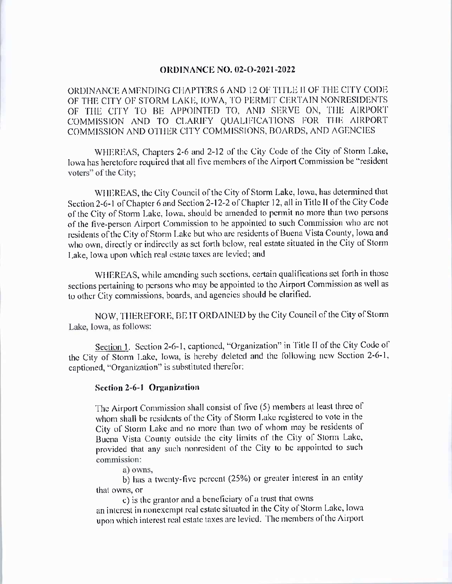## **ORDINANCE NO. 02-O-2021-2022**

ORDINANCE AMENDING CHAPTERS 6 AND 12 OF TITLE II OF THE CITY CODE OF THE CITY OF STORM LAKE, IOWA, TO PERMIT CERTAIN NONRESIDENTS OF THE CITY TO BE APPOINTED TO, AND SERVE ON, THE AIRPORT COMMISSION AND TO CLARIFY QUALIFICATIONS FOR THE AIRPORT COMMISSION AND OTHER CITY COMMISSIONS, BOARDS, AND AGENCIES

WHEREAS, Chapters 2-6 and 2-12 of the City Code of the City of Storm Lake, Iowa has heretofore required that all five members of the Airport Commission be "resident voters" of the City;

WHEREAS, the City Council of the City of Storm Lake, Iowa, has determined that Section 2-6-1 of Chapter 6 and Section 2-12-2 of Chapter 12, all in Title II of the City Code of the City of Storm Lake, Iowa, should be amended to permit no more than two persons of the five-person Airport Commission to be appointed to such Commission who are not residents of the City of Storm Lake but who are residents of Buena Vista County, Iowa and who own, directly or indirectly as set forth below, real estate situated in the City of Storm Lake, Iowa upon which real estate taxes are levied; and

WHEREAS, while amending such sections, certain qualifications set forth in those sections pertaining to persons who may be appointed to the Airport Commission as well as to other City commissions, boards, and agencies should be clarified.

NOW, THEREFORE, BE IT ORDAINED by the City Council of the City of Storm Lake, Iowa, as follows:

Section 1. Section 2-6-1, captioned, "Organization" in Title II of the City Code of the City of Storm Lake, Iowa, is hereby deleted and the following new Section 2-6-1, captioned, "Organization" is substituted therefor:

## Section 2-6-1 Organization

The Airport Commission shall consist of five (5) members at least three of whom shall be residents of the City of Storm Lake registered to vote in the City of Storm Lake and no more than two of whom may be residents of Buena Vista County outside the city limits of the City of Storm Lake, provided that any such nonresident of the City to be appointed to such commission:

a) owns.

b) has a twenty-five percent (25%) or greater interest in an entity that owns, or

c) is the grantor and a beneficiary of a trust that owns

an interest in nonexempt real estate situated in the City of Storm Lake, Iowa upon which interest real estate taxes are levied. The members of the Airport